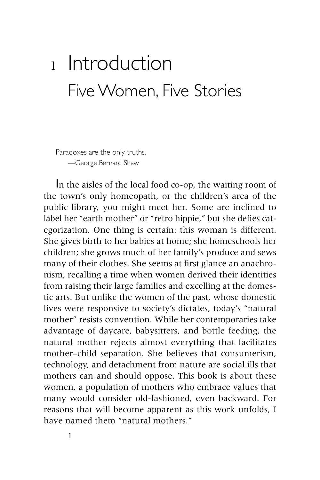# 1 Introduction Five Women, Five Stories

Paradoxes are the only truths. —George Bernard Shaw

In the aisles of the local food co-op, the waiting room of the town's only homeopath, or the children's area of the public library, you might meet her. Some are inclined to label her "earth mother" or "retro hippie," but she defies categorization. One thing is certain: this woman is different. She gives birth to her babies at home; she homeschools her children; she grows much of her family's produce and sews many of their clothes. She seems at first glance an anachronism, recalling a time when women derived their identities from raising their large families and excelling at the domestic arts. But unlike the women of the past, whose domestic lives were responsive to society's dictates, today's "natural mother" resists convention. While her contemporaries take advantage of daycare, babysitters, and bottle feeding, the natural mother rejects almost everything that facilitates mother–child separation. She believes that consumerism, technology, and detachment from nature are social ills that mothers can and should oppose. This book is about these women, a population of mothers who embrace values that many would consider old-fashioned, even backward. For reasons that will become apparent as this work unfolds, I have named them "natural mothers."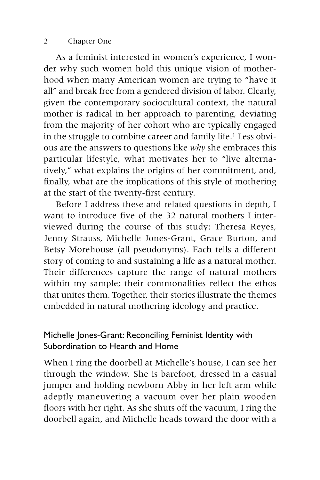#### 2 Chapter One

As a feminist interested in women's experience, I wonder why such women hold this unique vision of motherhood when many American women are trying to "have it all" and break free from a gendered division of labor. Clearly, given the contemporary sociocultural context, the natural mother is radical in her approach to parenting, deviating from the majority of her cohort who are typically engaged in the struggle to combine career and family life.1 Less obvious are the answers to questions like *why* she embraces this particular lifestyle, what motivates her to "live alternatively," what explains the origins of her commitment, and, finally, what are the implications of this style of mothering at the start of the twenty-first century.

Before I address these and related questions in depth, I want to introduce five of the 32 natural mothers I interviewed during the course of this study: Theresa Reyes, Jenny Strauss, Michelle Jones-Grant, Grace Burton, and Betsy Morehouse (all pseudonyms). Each tells a different story of coming to and sustaining a life as a natural mother. Their differences capture the range of natural mothers within my sample; their commonalities reflect the ethos that unites them. Together, their stories illustrate the themes embedded in natural mothering ideology and practice.

#### Michelle Jones-Grant: Reconciling Feminist Identity with Subordination to Hearth and Home

When I ring the doorbell at Michelle's house, I can see her through the window. She is barefoot, dressed in a casual jumper and holding newborn Abby in her left arm while adeptly maneuvering a vacuum over her plain wooden floors with her right. As she shuts off the vacuum, I ring the doorbell again, and Michelle heads toward the door with a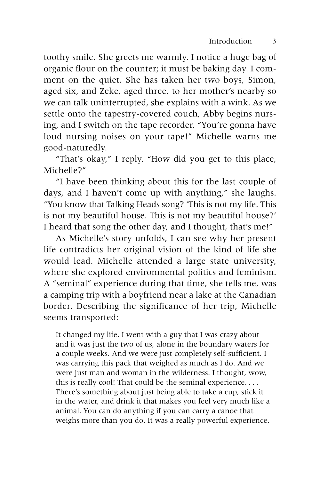toothy smile. She greets me warmly. I notice a huge bag of organic flour on the counter; it must be baking day. I comment on the quiet. She has taken her two boys, Simon, aged six, and Zeke, aged three, to her mother's nearby so we can talk uninterrupted, she explains with a wink. As we settle onto the tapestry-covered couch, Abby begins nursing, and I switch on the tape recorder. "You're gonna have loud nursing noises on your tape!" Michelle warns me good-naturedly.

"That's okay," I reply. "How did you get to this place, Michelle?"

"I have been thinking about this for the last couple of days, and I haven't come up with anything," she laughs. "You know that Talking Heads song? 'This is not my life. This is not my beautiful house. This is not my beautiful house?' I heard that song the other day, and I thought, that's me!"

As Michelle's story unfolds, I can see why her present life contradicts her original vision of the kind of life she would lead. Michelle attended a large state university, where she explored environmental politics and feminism. A "seminal" experience during that time, she tells me, was a camping trip with a boyfriend near a lake at the Canadian border. Describing the significance of her trip, Michelle seems transported:

It changed my life. I went with a guy that I was crazy about and it was just the two of us, alone in the boundary waters for a couple weeks. And we were just completely self-sufficient. I was carrying this pack that weighed as much as I do. And we were just man and woman in the wilderness. I thought, wow, this is really cool! That could be the seminal experience.... There's something about just being able to take a cup, stick it in the water, and drink it that makes you feel very much like a animal. You can do anything if you can carry a canoe that weighs more than you do. It was a really powerful experience.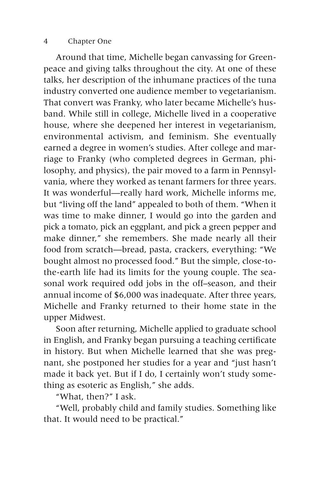#### 4 Chapter One

Around that time, Michelle began canvassing for Greenpeace and giving talks throughout the city. At one of these talks, her description of the inhumane practices of the tuna industry converted one audience member to vegetarianism. That convert was Franky, who later became Michelle's husband. While still in college, Michelle lived in a cooperative house, where she deepened her interest in vegetarianism, environmental activism, and feminism. She eventually earned a degree in women's studies. After college and marriage to Franky (who completed degrees in German, philosophy, and physics), the pair moved to a farm in Pennsylvania, where they worked as tenant farmers for three years. It was wonderful—really hard work, Michelle informs me, but "living off the land" appealed to both of them. "When it was time to make dinner, I would go into the garden and pick a tomato, pick an eggplant, and pick a green pepper and make dinner," she remembers. She made nearly all their food from scratch—bread, pasta, crackers, everything: "We bought almost no processed food." But the simple, close-tothe-earth life had its limits for the young couple. The seasonal work required odd jobs in the off–season, and their annual income of \$6,000 was inadequate. After three years, Michelle and Franky returned to their home state in the upper Midwest.

Soon after returning, Michelle applied to graduate school in English, and Franky began pursuing a teaching certificate in history. But when Michelle learned that she was pregnant, she postponed her studies for a year and "just hasn't made it back yet. But if I do, I certainly won't study something as esoteric as English," she adds.

"What, then?" I ask.

"Well, probably child and family studies. Something like that. It would need to be practical."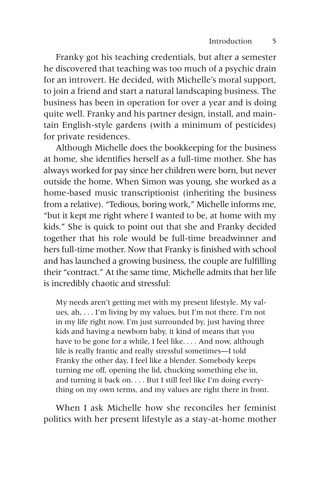Franky got his teaching credentials, but after a semester he discovered that teaching was too much of a psychic drain for an introvert. He decided, with Michelle's moral support, to join a friend and start a natural landscaping business. The business has been in operation for over a year and is doing quite well. Franky and his partner design, install, and maintain English-style gardens (with a minimum of pesticides) for private residences.

Although Michelle does the bookkeeping for the business at home, she identifies herself as a full-time mother. She has always worked for pay since her children were born, but never outside the home. When Simon was young, she worked as a home-based music transcriptionist (inheriting the business from a relative). "Tedious, boring work," Michelle informs me, "but it kept me right where I wanted to be, at home with my kids." She is quick to point out that she and Franky decided together that his role would be full-time breadwinner and hers full-time mother. Now that Franky is finished with school and has launched a growing business, the couple are fulfilling their "contract." At the same time, Michelle admits that her life is incredibly chaotic and stressful:

My needs aren't getting met with my present lifestyle. My values, ah, . . . I'm living by my values, but I'm not there. I'm not in my life right now. I'm just surrounded by, just having three kids and having a newborn baby, it kind of means that you have to be gone for a while, I feel like. . . . And now, although life is really frantic and really stressful sometimes—I told Franky the other day, I feel like a blender. Somebody keeps turning me off, opening the lid, chucking something else in, and turning it back on. . . . But I still feel like I'm doing everything on my own terms, and my values are right there in front.

When I ask Michelle how she reconciles her feminist politics with her present lifestyle as a stay-at-home mother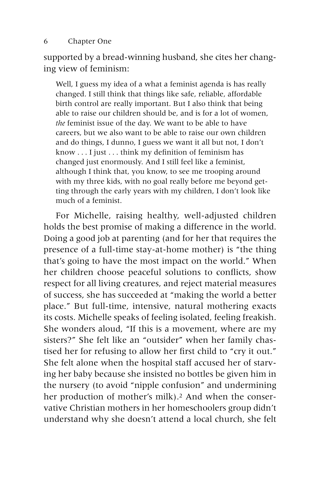supported by a bread-winning husband, she cites her changing view of feminism:

Well, I guess my idea of a what a feminist agenda is has really changed. I still think that things like safe, reliable, affordable birth control are really important. But I also think that being able to raise our children should be, and is for a lot of women, *the* feminist issue of the day. We want to be able to have careers, but we also want to be able to raise our own children and do things, I dunno, I guess we want it all but not, I don't know . . . I just . . . think my definition of feminism has changed just enormously. And I still feel like a feminist, although I think that, you know, to see me trooping around with my three kids, with no goal really before me beyond getting through the early years with my children, I don't look like much of a feminist.

For Michelle, raising healthy, well-adjusted children holds the best promise of making a difference in the world. Doing a good job at parenting (and for her that requires the presence of a full-time stay-at-home mother) is "the thing that's going to have the most impact on the world." When her children choose peaceful solutions to conflicts, show respect for all living creatures, and reject material measures of success, she has succeeded at "making the world a better place." But full-time, intensive, natural mothering exacts its costs. Michelle speaks of feeling isolated, feeling freakish. She wonders aloud, "If this is a movement, where are my sisters?" She felt like an "outsider" when her family chastised her for refusing to allow her first child to "cry it out." She felt alone when the hospital staff accused her of starving her baby because she insisted no bottles be given him in the nursery (to avoid "nipple confusion" and undermining her production of mother's milk).<sup>2</sup> And when the conservative Christian mothers in her homeschoolers group didn't understand why she doesn't attend a local church, she felt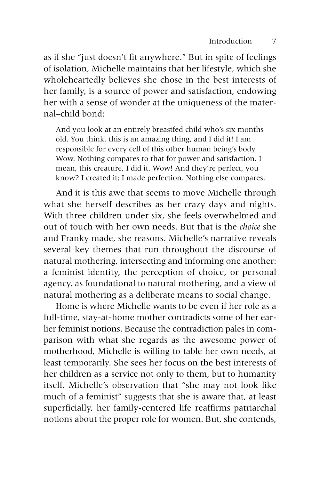as if she "just doesn't fit anywhere." But in spite of feelings of isolation, Michelle maintains that her lifestyle, which she wholeheartedly believes she chose in the best interests of her family, is a source of power and satisfaction, endowing her with a sense of wonder at the uniqueness of the maternal–child bond:

And you look at an entirely breastfed child who's six months old. You think, this is an amazing thing, and I did it! I am responsible for every cell of this other human being's body. Wow. Nothing compares to that for power and satisfaction. I mean, this creature, I did it. Wow! And they're perfect, you know? I created it; I made perfection. Nothing else compares.

And it is this awe that seems to move Michelle through what she herself describes as her crazy days and nights. With three children under six, she feels overwhelmed and out of touch with her own needs. But that is the *choice* she and Franky made, she reasons. Michelle's narrative reveals several key themes that run throughout the discourse of natural mothering, intersecting and informing one another: a feminist identity, the perception of choice, or personal agency, as foundational to natural mothering, and a view of natural mothering as a deliberate means to social change.

Home is where Michelle wants to be even if her role as a full-time, stay-at-home mother contradicts some of her earlier feminist notions. Because the contradiction pales in comparison with what she regards as the awesome power of motherhood, Michelle is willing to table her own needs, at least temporarily. She sees her focus on the best interests of her children as a service not only to them, but to humanity itself. Michelle's observation that "she may not look like much of a feminist" suggests that she is aware that, at least superficially, her family-centered life reaffirms patriarchal notions about the proper role for women. But, she contends,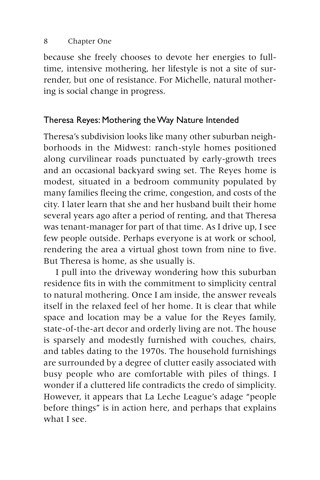because she freely chooses to devote her energies to fulltime, intensive mothering, her lifestyle is not a site of surrender, but one of resistance. For Michelle, natural mothering is social change in progress.

## Theresa Reyes: Mothering the Way Nature Intended

Theresa's subdivision looks like many other suburban neighborhoods in the Midwest: ranch-style homes positioned along curvilinear roads punctuated by early-growth trees and an occasional backyard swing set. The Reyes home is modest, situated in a bedroom community populated by many families fleeing the crime, congestion, and costs of the city. I later learn that she and her husband built their home several years ago after a period of renting, and that Theresa was tenant-manager for part of that time. As I drive up, I see few people outside. Perhaps everyone is at work or school, rendering the area a virtual ghost town from nine to five. But Theresa is home, as she usually is.

I pull into the driveway wondering how this suburban residence fits in with the commitment to simplicity central to natural mothering. Once I am inside, the answer reveals itself in the relaxed feel of her home. It is clear that while space and location may be a value for the Reyes family, state-of-the-art decor and orderly living are not. The house is sparsely and modestly furnished with couches, chairs, and tables dating to the 1970s. The household furnishings are surrounded by a degree of clutter easily associated with busy people who are comfortable with piles of things. I wonder if a cluttered life contradicts the credo of simplicity. However, it appears that La Leche League's adage "people before things" is in action here, and perhaps that explains what I see.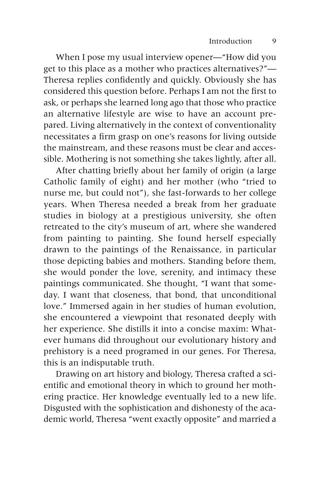When I pose my usual interview opener—"How did you get to this place as a mother who practices alternatives?"— Theresa replies confidently and quickly. Obviously she has considered this question before. Perhaps I am not the first to ask, or perhaps she learned long ago that those who practice an alternative lifestyle are wise to have an account prepared. Living alternatively in the context of conventionality necessitates a firm grasp on one's reasons for living outside the mainstream, and these reasons must be clear and accessible. Mothering is not something she takes lightly, after all.

After chatting briefly about her family of origin (a large Catholic family of eight) and her mother (who "tried to nurse me, but could not"), she fast-forwards to her college years. When Theresa needed a break from her graduate studies in biology at a prestigious university, she often retreated to the city's museum of art, where she wandered from painting to painting. She found herself especially drawn to the paintings of the Renaissance, in particular those depicting babies and mothers. Standing before them, she would ponder the love, serenity, and intimacy these paintings communicated. She thought, "I want that someday. I want that closeness, that bond, that unconditional love." Immersed again in her studies of human evolution, she encountered a viewpoint that resonated deeply with her experience. She distills it into a concise maxim: Whatever humans did throughout our evolutionary history and prehistory is a need programed in our genes. For Theresa, this is an indisputable truth.

Drawing on art history and biology, Theresa crafted a scientific and emotional theory in which to ground her mothering practice. Her knowledge eventually led to a new life. Disgusted with the sophistication and dishonesty of the academic world, Theresa "went exactly opposite" and married a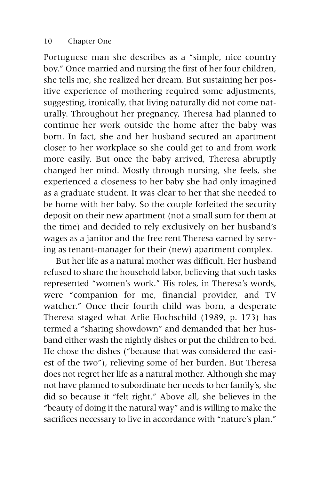Portuguese man she describes as a "simple, nice country boy." Once married and nursing the first of her four children, she tells me, she realized her dream. But sustaining her positive experience of mothering required some adjustments, suggesting, ironically, that living naturally did not come naturally. Throughout her pregnancy, Theresa had planned to continue her work outside the home after the baby was born. In fact, she and her husband secured an apartment closer to her workplace so she could get to and from work more easily. But once the baby arrived, Theresa abruptly changed her mind. Mostly through nursing, she feels, she experienced a closeness to her baby she had only imagined as a graduate student. It was clear to her that she needed to be home with her baby. So the couple forfeited the security deposit on their new apartment (not a small sum for them at the time) and decided to rely exclusively on her husband's wages as a janitor and the free rent Theresa earned by serving as tenant-manager for their (new) apartment complex.

But her life as a natural mother was difficult. Her husband refused to share the household labor, believing that such tasks represented "women's work." His roles, in Theresa's words, were "companion for me, financial provider, and TV watcher." Once their fourth child was born, a desperate Theresa staged what Arlie Hochschild (1989, p. 173) has termed a "sharing showdown" and demanded that her husband either wash the nightly dishes or put the children to bed. He chose the dishes ("because that was considered the easiest of the two"), relieving some of her burden. But Theresa does not regret her life as a natural mother. Although she may not have planned to subordinate her needs to her family's, she did so because it "felt right." Above all, she believes in the "beauty of doing it the natural way" and is willing to make the sacrifices necessary to live in accordance with "nature's plan."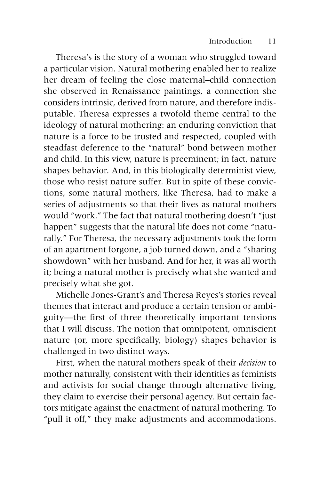Theresa's is the story of a woman who struggled toward a particular vision. Natural mothering enabled her to realize her dream of feeling the close maternal–child connection she observed in Renaissance paintings, a connection she considers intrinsic, derived from nature, and therefore indisputable. Theresa expresses a twofold theme central to the ideology of natural mothering: an enduring conviction that nature is a force to be trusted and respected, coupled with steadfast deference to the "natural" bond between mother and child. In this view, nature is preeminent; in fact, nature shapes behavior. And, in this biologically determinist view, those who resist nature suffer. But in spite of these convictions, some natural mothers, like Theresa, had to make a series of adjustments so that their lives as natural mothers would "work." The fact that natural mothering doesn't "just happen" suggests that the natural life does not come "naturally." For Theresa, the necessary adjustments took the form of an apartment forgone, a job turned down, and a "sharing showdown" with her husband. And for her, it was all worth it; being a natural mother is precisely what she wanted and precisely what she got.

Michelle Jones-Grant's and Theresa Reyes's stories reveal themes that interact and produce a certain tension or ambiguity—the first of three theoretically important tensions that I will discuss. The notion that omnipotent, omniscient nature (or, more specifically, biology) shapes behavior is challenged in two distinct ways.

First, when the natural mothers speak of their *decision* to mother naturally, consistent with their identities as feminists and activists for social change through alternative living, they claim to exercise their personal agency. But certain factors mitigate against the enactment of natural mothering. To "pull it off," they make adjustments and accommodations.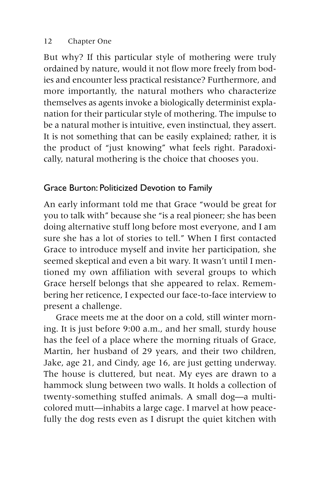But why? If this particular style of mothering were truly ordained by nature, would it not flow more freely from bodies and encounter less practical resistance? Furthermore, and more importantly, the natural mothers who characterize themselves as agents invoke a biologically determinist explanation for their particular style of mothering. The impulse to be a natural mother is intuitive, even instinctual, they assert. It is not something that can be easily explained; rather, it is the product of "just knowing" what feels right. Paradoxically, natural mothering is the choice that chooses you.

# Grace Burton: Politicized Devotion to Family

An early informant told me that Grace "would be great for you to talk with" because she "is a real pioneer; she has been doing alternative stuff long before most everyone, and I am sure she has a lot of stories to tell." When I first contacted Grace to introduce myself and invite her participation, she seemed skeptical and even a bit wary. It wasn't until I mentioned my own affiliation with several groups to which Grace herself belongs that she appeared to relax. Remembering her reticence, I expected our face-to-face interview to present a challenge.

Grace meets me at the door on a cold, still winter morning. It is just before 9:00 a.m., and her small, sturdy house has the feel of a place where the morning rituals of Grace, Martin, her husband of 29 years, and their two children, Jake, age 21, and Cindy, age 16, are just getting underway. The house is cluttered, but neat. My eyes are drawn to a hammock slung between two walls. It holds a collection of twenty-something stuffed animals. A small dog—a multicolored mutt—inhabits a large cage. I marvel at how peacefully the dog rests even as I disrupt the quiet kitchen with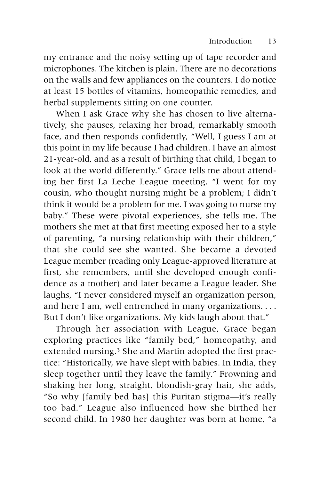my entrance and the noisy setting up of tape recorder and microphones. The kitchen is plain. There are no decorations on the walls and few appliances on the counters. I do notice at least 15 bottles of vitamins, homeopathic remedies, and herbal supplements sitting on one counter.

When I ask Grace why she has chosen to live alternatively, she pauses, relaxing her broad, remarkably smooth face, and then responds confidently, "Well, I guess I am at this point in my life because I had children. I have an almost 21-year-old, and as a result of birthing that child, I began to look at the world differently." Grace tells me about attending her first La Leche League meeting. "I went for my cousin, who thought nursing might be a problem; I didn't think it would be a problem for me. I was going to nurse my baby." These were pivotal experiences, she tells me. The mothers she met at that first meeting exposed her to a style of parenting, "a nursing relationship with their children," that she could see she wanted. She became a devoted League member (reading only League-approved literature at first, she remembers, until she developed enough confidence as a mother) and later became a League leader. She laughs, "I never considered myself an organization person, and here I am, well entrenched in many organizations.... But I don't like organizations. My kids laugh about that."

Through her association with League, Grace began exploring practices like "family bed," homeopathy, and extended nursing.<sup>3</sup> She and Martin adopted the first practice: "Historically, we have slept with babies. In India, they sleep together until they leave the family." Frowning and shaking her long, straight, blondish-gray hair, she adds, "So why [family bed has] this Puritan stigma—it's really too bad." League also influenced how she birthed her second child. In 1980 her daughter was born at home, "a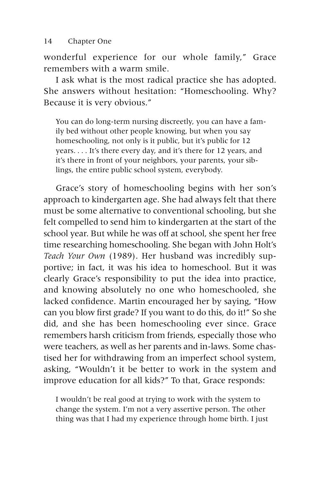wonderful experience for our whole family," Grace remembers with a warm smile.

I ask what is the most radical practice she has adopted. She answers without hesitation: "Homeschooling. Why? Because it is very obvious."

You can do long-term nursing discreetly, you can have a family bed without other people knowing, but when you say homeschooling, not only is it public, but it's public for 12 years. . . . It's there every day, and it's there for 12 years, and it's there in front of your neighbors, your parents, your siblings, the entire public school system, everybody.

Grace's story of homeschooling begins with her son's approach to kindergarten age. She had always felt that there must be some alternative to conventional schooling, but she felt compelled to send him to kindergarten at the start of the school year. But while he was off at school, she spent her free time researching homeschooling. She began with John Holt's *Teach Your Own* (1989). Her husband was incredibly supportive; in fact, it was his idea to homeschool. But it was clearly Grace's responsibility to put the idea into practice, and knowing absolutely no one who homeschooled, she lacked confidence. Martin encouraged her by saying, "How can you blow first grade? If you want to do this, do it!" So she did, and she has been homeschooling ever since. Grace remembers harsh criticism from friends, especially those who were teachers, as well as her parents and in-laws. Some chastised her for withdrawing from an imperfect school system, asking, "Wouldn't it be better to work in the system and improve education for all kids?" To that, Grace responds:

I wouldn't be real good at trying to work with the system to change the system. I'm not a very assertive person. The other thing was that I had my experience through home birth. I just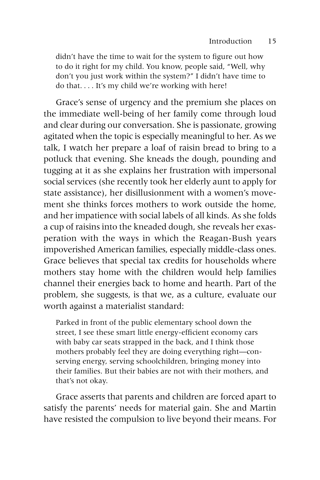didn't have the time to wait for the system to figure out how to do it right for my child. You know, people said, "Well, why don't you just work within the system?" I didn't have time to do that. . . . It's my child we're working with here!

Grace's sense of urgency and the premium she places on the immediate well-being of her family come through loud and clear during our conversation. She is passionate, growing agitated when the topic is especially meaningful to her. As we talk, I watch her prepare a loaf of raisin bread to bring to a potluck that evening. She kneads the dough, pounding and tugging at it as she explains her frustration with impersonal social services (she recently took her elderly aunt to apply for state assistance), her disillusionment with a women's movement she thinks forces mothers to work outside the home, and her impatience with social labels of all kinds. As she folds a cup of raisins into the kneaded dough, she reveals her exasperation with the ways in which the Reagan-Bush years impoverished American families, especially middle-class ones. Grace believes that special tax credits for households where mothers stay home with the children would help families channel their energies back to home and hearth. Part of the problem, she suggests, is that we, as a culture, evaluate our worth against a materialist standard:

Parked in front of the public elementary school down the street, I see these smart little energy-efficient economy cars with baby car seats strapped in the back, and I think those mothers probably feel they are doing everything right—conserving energy, serving schoolchildren, bringing money into their families. But their babies are not with their mothers, and that's not okay.

Grace asserts that parents and children are forced apart to satisfy the parents' needs for material gain. She and Martin have resisted the compulsion to live beyond their means. For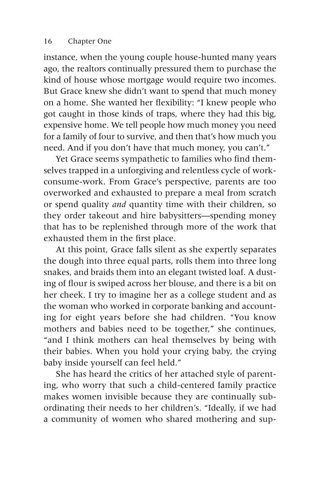instance, when the young couple house-hunted many years ago, the realtors continually pressured them to purchase the kind of house whose mortgage would require two incomes. But Grace knew she didn't want to spend that much money on a home. She wanted her flexibility: "I knew people who got caught in those kinds of traps, where they had this big, expensive home. We tell people how much money you need for a family of four to survive, and then that's how much you need. And if you don't have that much money, you can't."

Yet Grace seems sympathetic to families who find themselves trapped in a unforgiving and relentless cycle of workconsume-work. From Grace's perspective, parents are too overworked and exhausted to prepare a meal from scratch or spend quality *and* quantity time with their children, so they order takeout and hire babysitters—spending money that has to be replenished through more of the work that exhausted them in the first place.

At this point, Grace falls silent as she expertly separates the dough into three equal parts, rolls them into three long snakes, and braids them into an elegant twisted loaf. A dusting of flour is swiped across her blouse, and there is a bit on her cheek. I try to imagine her as a college student and as the woman who worked in corporate banking and accounting for eight years before she had children. "You know mothers and babies need to be together," she continues, "and I think mothers can heal themselves by being with their babies. When you hold your crying baby, the crying baby inside yourself can feel held."

She has heard the critics of her attached style of parenting, who worry that such a child-centered family practice makes women invisible because they are continually subordinating their needs to her children's. "Ideally, if we had a community of women who shared mothering and sup-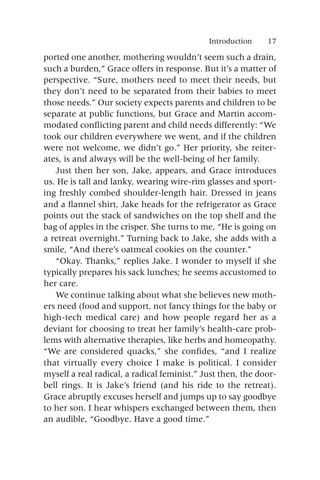ported one another, mothering wouldn't seem such a drain, such a burden," Grace offers in response. But it's a matter of perspective. "Sure, mothers need to meet their needs, but they don't need to be separated from their babies to meet those needs." Our society expects parents and children to be separate at public functions, but Grace and Martin accommodated conflicting parent and child needs differently: "We took our children everywhere we went, and if the children were not welcome, we didn't go." Her priority, she reiterates, is and always will be the well-being of her family.

Just then her son, Jake, appears, and Grace introduces us. He is tall and lanky, wearing wire-rim glasses and sporting freshly combed shoulder-length hair. Dressed in jeans and a flannel shirt, Jake heads for the refrigerator as Grace points out the stack of sandwiches on the top shelf and the bag of apples in the crisper. She turns to me, "He is going on a retreat overnight." Turning back to Jake, she adds with a smile, "And there's oatmeal cookies on the counter."

"Okay. Thanks," replies Jake. I wonder to myself if she typically prepares his sack lunches; he seems accustomed to her care.

We continue talking about what she believes new mothers need (food and support, not fancy things for the baby or high-tech medical care) and how people regard her as a deviant for choosing to treat her family's health-care problems with alternative therapies, like herbs and homeopathy. "We are considered quacks," she confides, "and I realize that virtually every choice I make is political. I consider myself a real radical, a radical feminist." Just then, the doorbell rings. It is Jake's friend (and his ride to the retreat). Grace abruptly excuses herself and jumps up to say goodbye to her son. I hear whispers exchanged between them, then an audible, "Goodbye. Have a good time."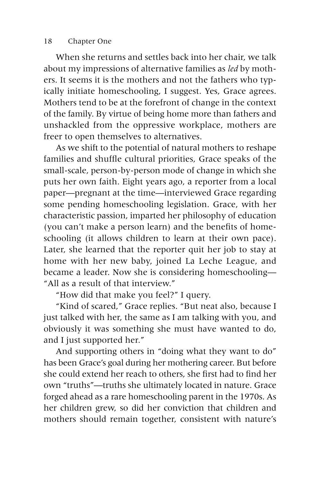#### 18 Chapter One

When she returns and settles back into her chair, we talk about my impressions of alternative families as *led* by mothers. It seems it is the mothers and not the fathers who typically initiate homeschooling, I suggest. Yes, Grace agrees. Mothers tend to be at the forefront of change in the context of the family. By virtue of being home more than fathers and unshackled from the oppressive workplace, mothers are freer to open themselves to alternatives.

As we shift to the potential of natural mothers to reshape families and shuffle cultural priorities, Grace speaks of the small-scale, person-by-person mode of change in which she puts her own faith. Eight years ago, a reporter from a local paper—pregnant at the time—interviewed Grace regarding some pending homeschooling legislation. Grace, with her characteristic passion, imparted her philosophy of education (you can't make a person learn) and the benefits of homeschooling (it allows children to learn at their own pace). Later, she learned that the reporter quit her job to stay at home with her new baby, joined La Leche League, and became a leader. Now she is considering homeschooling— "All as a result of that interview."

"How did that make you feel?" I query.

"Kind of scared," Grace replies. "But neat also, because I just talked with her, the same as I am talking with you, and obviously it was something she must have wanted to do, and I just supported her."

And supporting others in "doing what they want to do" has been Grace's goal during her mothering career. But before she could extend her reach to others, she first had to find her own "truths"—truths she ultimately located in nature. Grace forged ahead as a rare homeschooling parent in the 1970s. As her children grew, so did her conviction that children and mothers should remain together, consistent with nature's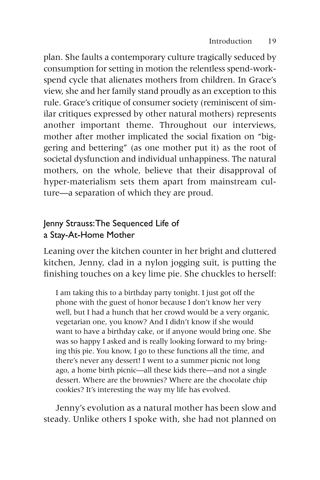plan. She faults a contemporary culture tragically seduced by consumption for setting in motion the relentless spend-workspend cycle that alienates mothers from children. In Grace's view, she and her family stand proudly as an exception to this rule. Grace's critique of consumer society (reminiscent of similar critiques expressed by other natural mothers) represents another important theme. Throughout our interviews, mother after mother implicated the social fixation on "biggering and bettering" (as one mother put it) as the root of societal dysfunction and individual unhappiness. The natural mothers, on the whole, believe that their disapproval of hyper-materialism sets them apart from mainstream culture—a separation of which they are proud.

### Jenny Strauss:The Sequenced Life of a Stay-At-Home Mother

Leaning over the kitchen counter in her bright and cluttered kitchen, Jenny, clad in a nylon jogging suit, is putting the finishing touches on a key lime pie. She chuckles to herself:

I am taking this to a birthday party tonight. I just got off the phone with the guest of honor because I don't know her very well, but I had a hunch that her crowd would be a very organic, vegetarian one, you know? And I didn't know if she would want to have a birthday cake, or if anyone would bring one. She was so happy I asked and is really looking forward to my bringing this pie. You know, I go to these functions all the time, and there's never any dessert! I went to a summer picnic not long ago, a home birth picnic—all these kids there—and not a single dessert. Where are the brownies? Where are the chocolate chip cookies? It's interesting the way my life has evolved.

Jenny's evolution as a natural mother has been slow and steady. Unlike others I spoke with, she had not planned on